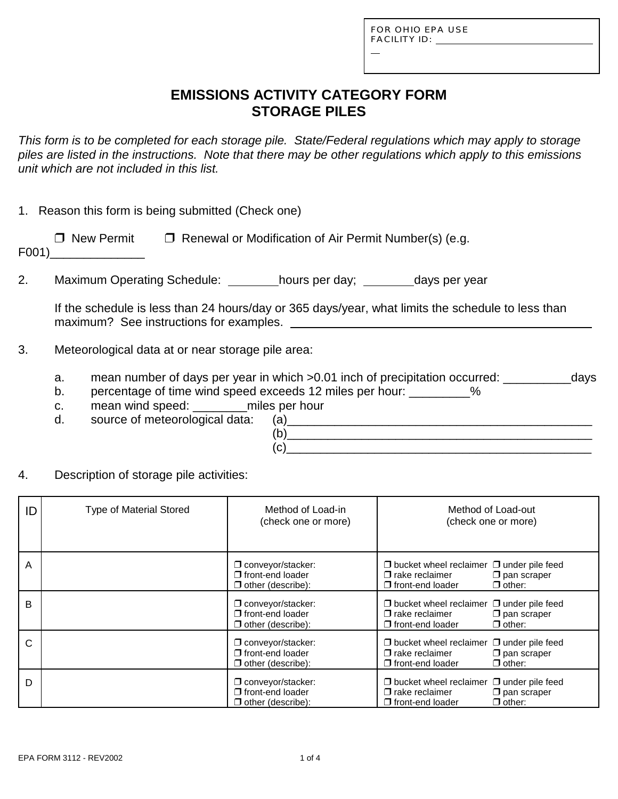| FOR OHIO EPA USE |
|------------------|
| FACILITY ID:     |

L

## **EMISSIONS ACTIVITY CATEGORY FORM STORAGE PILES**

*This form is to be completed for each storage pile. State/Federal regulations which may apply to storage piles are listed in the instructions. Note that there may be other regulations which apply to this emissions unit which are not included in this list.*

|  |  |  |  | 1. Reason this form is being submitted (Check one) |  |  |
|--|--|--|--|----------------------------------------------------|--|--|
|--|--|--|--|----------------------------------------------------|--|--|

| □ New Permit             | $\Box$ Renewal or Modification of Air Permit Number(s) (e.g. |  |
|--------------------------|--------------------------------------------------------------|--|
| $\overline{\phantom{a}}$ |                                                              |  |

F001)\_\_\_\_\_\_\_\_\_\_\_\_\_\_

2. Maximum Operating Schedule: \_\_\_\_\_\_\_hours per day; \_\_\_\_\_\_\_days per year

If the schedule is less than 24 hours/day or 365 days/year, what limits the schedule to less than maximum? See instructions for examples.

- 3. Meteorological data at or near storage pile area:
	- a. mean number of days per year in which >0.01 inch of precipitation occurred: days
	- b. percentage of time wind speed exceeds 12 miles per hour: \_\_\_\_\_\_\_\_\_%
	- c. mean wind speed: \_\_\_\_\_\_\_\_miles per hour
	-
	- d. source of meteorological data: (a)\_\_\_\_\_\_\_\_\_\_\_\_\_\_\_\_\_\_\_\_\_\_\_\_\_\_\_\_\_\_\_\_\_\_\_\_\_\_\_\_\_\_\_\_\_  $(b)$  $(c)$
- 4. Description of storage pile activities:

| ID | <b>Type of Material Stored</b> | Method of Load-in<br>(check one or more)                                          | Method of Load-out<br>(check one or more)                                                                                                          |
|----|--------------------------------|-----------------------------------------------------------------------------------|----------------------------------------------------------------------------------------------------------------------------------------------------|
| A  |                                | $\Box$ conveyor/stacker:<br>$\sqcap$ front-end loader<br>$\Box$ other (describe): | $\Box$ bucket wheel reclaimer $\Box$ under pile feed<br>$\Box$ rake reclaimer<br>$\square$ pan scraper<br>$\Box$ other:<br>$\Box$ front-end loader |
| B  |                                | $\Box$ conveyor/stacker:<br>$\sqcap$ front-end loader<br>$\Box$ other (describe): | $\Box$ bucket wheel reclaimer $\Box$ under pile feed<br>$\Box$ rake reclaimer<br>$\square$ pan scraper<br>$\Box$ other:<br>$\Box$ front-end loader |
| C  |                                | $\Box$ conveyor/stacker:<br>$\sqcap$ front-end loader<br>$\Box$ other (describe): | $\Box$ bucket wheel reclaimer $\Box$ under pile feed<br>$\Box$ rake reclaimer<br>$\square$ pan scraper<br>$\Box$ other:<br>$\Box$ front-end loader |
| D  |                                | $\Box$ conveyor/stacker:<br>$\Box$ front-end loader<br>$\Box$ other (describe):   | $\Box$ bucket wheel reclaimer $\Box$ under pile feed<br>$\Box$ rake reclaimer<br>$\square$ pan scraper<br>$\Box$ other:<br>$\Box$ front-end loader |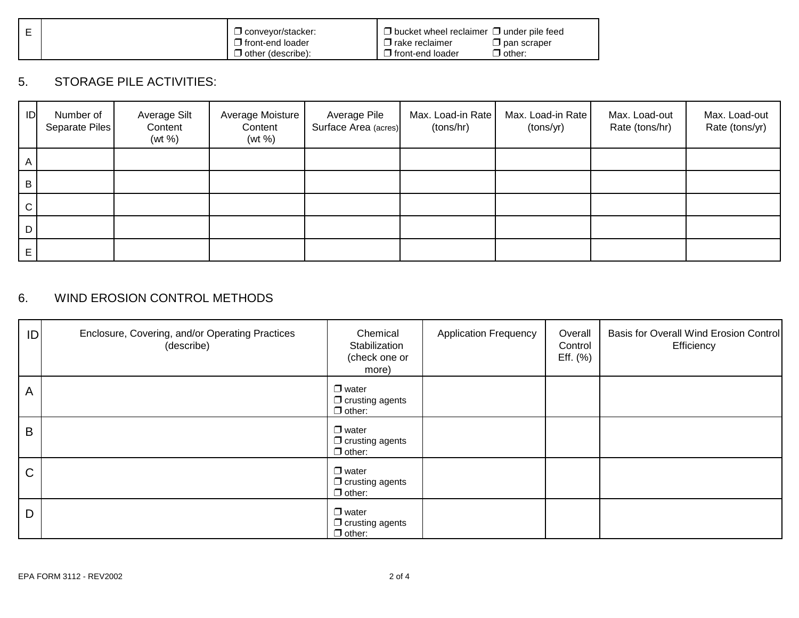|  | $\Box$ convevor/stacker: | $\Box$ bucket wheel reclaimer $\Box$ under pile feed |  |
|--|--------------------------|------------------------------------------------------|--|
|  | $\Box$ front-end loader  | $\Box$ pan scraper<br>$\sqcup$ rake reclaimer        |  |
|  | other (describe):        | $\mathcal{I}$ other:<br>$\Box$ front-end loader      |  |

## 5. STORAGE PILE ACTIVITIES:

| ID           | Number of<br>Separate Piles | Average Silt<br>Content<br>(wt %) | Average Moisture<br>Content<br>(wt %) | Average Pile<br>Surface Area (acres) | Max. Load-in Rate<br>(tons/hr) | Max. Load-in Rate<br>(tons/yr) | Max. Load-out<br>Rate (tons/hr) | Max. Load-out<br>Rate (tons/yr) |
|--------------|-----------------------------|-----------------------------------|---------------------------------------|--------------------------------------|--------------------------------|--------------------------------|---------------------------------|---------------------------------|
| A            |                             |                                   |                                       |                                      |                                |                                |                                 |                                 |
| B            |                             |                                   |                                       |                                      |                                |                                |                                 |                                 |
| $\mathsf{C}$ |                             |                                   |                                       |                                      |                                |                                |                                 |                                 |
| D            |                             |                                   |                                       |                                      |                                |                                |                                 |                                 |
| Е            |                             |                                   |                                       |                                      |                                |                                |                                 |                                 |

## 6. WIND EROSION CONTROL METHODS

| ID           | Enclosure, Covering, and/or Operating Practices<br>(describe) | Chemical<br>Stabilization<br>(check one or<br>more)     | <b>Application Frequency</b> | Overall<br>Control<br>Eff. (%) | Basis for Overall Wind Erosion Control<br>Efficiency |
|--------------|---------------------------------------------------------------|---------------------------------------------------------|------------------------------|--------------------------------|------------------------------------------------------|
| $\mathsf{A}$ |                                                               | $\Box$ water<br>$\Box$ crusting agents<br>$\Box$ other: |                              |                                |                                                      |
| B            |                                                               | $\Box$ water<br>$\Box$ crusting agents<br>$\Box$ other: |                              |                                |                                                      |
| C            |                                                               | $\Box$ water<br>$\Box$ crusting agents<br>$\Box$ other: |                              |                                |                                                      |
| D            |                                                               | $\Box$ water<br>$\Box$ crusting agents<br>$\Box$ other: |                              |                                |                                                      |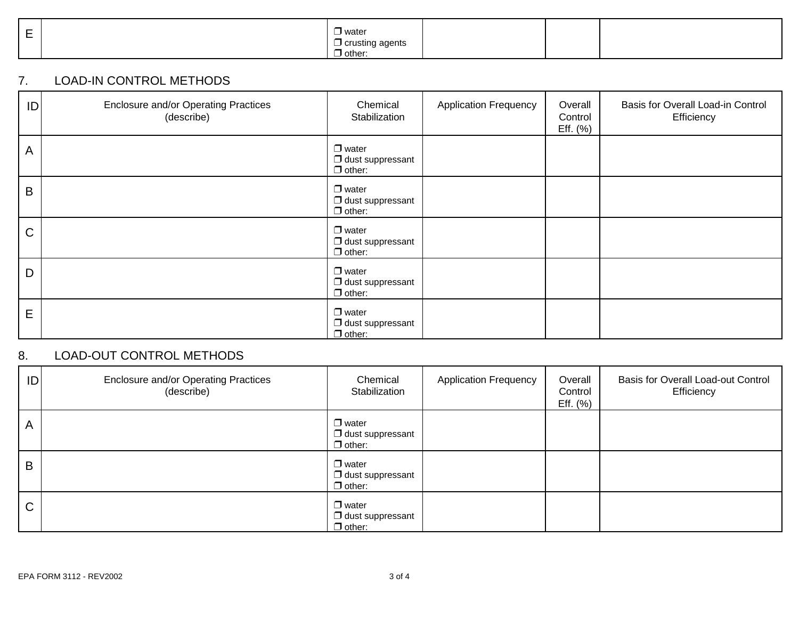| , water<br>_<br>$\sim$<br>n+o<br>יי<br>$\blacksquare$ other<br>$\cup$ other |  |
|-----------------------------------------------------------------------------|--|
|-----------------------------------------------------------------------------|--|

### 7. LOAD-IN CONTROL METHODS

| ID          | <b>Enclosure and/or Operating Practices</b><br>(describe) | Chemical<br>Stabilization                                | <b>Application Frequency</b> | Overall<br>Control<br>Eff. (%) | Basis for Overall Load-in Control<br>Efficiency |
|-------------|-----------------------------------------------------------|----------------------------------------------------------|------------------------------|--------------------------------|-------------------------------------------------|
| A           |                                                           | $\Box$ water<br>$\Box$ dust suppressant<br>$\Box$ other: |                              |                                |                                                 |
| $\mathsf B$ |                                                           | $\Box$ water<br>$\Box$ dust suppressant<br>$\Box$ other: |                              |                                |                                                 |
| $\mathsf C$ |                                                           | $\Box$ water<br>$\Box$ dust suppressant<br>$\Box$ other: |                              |                                |                                                 |
| D           |                                                           | $\Box$ water<br>$\Box$ dust suppressant<br>$\Box$ other: |                              |                                |                                                 |
| E           |                                                           | $\Box$ water<br>$\Box$ dust suppressant<br>$\Box$ other: |                              |                                |                                                 |

## 8. LOAD-OUT CONTROL METHODS

| ID           | Enclosure and/or Operating Practices<br>(describe) | Chemical<br>Stabilization                                | <b>Application Frequency</b> | Overall<br>Control<br>Eff. (%) | Basis for Overall Load-out Control<br>Efficiency |
|--------------|----------------------------------------------------|----------------------------------------------------------|------------------------------|--------------------------------|--------------------------------------------------|
| A            |                                                    | $\Box$ water<br>$\Box$ dust suppressant<br>$\Box$ other: |                              |                                |                                                  |
| B            |                                                    | $\Box$ water<br>$\Box$ dust suppressant<br>$\Box$ other: |                              |                                |                                                  |
| $\mathsf{C}$ |                                                    | $\Box$ water<br>$\Box$ dust suppressant<br>$\Box$ other: |                              |                                |                                                  |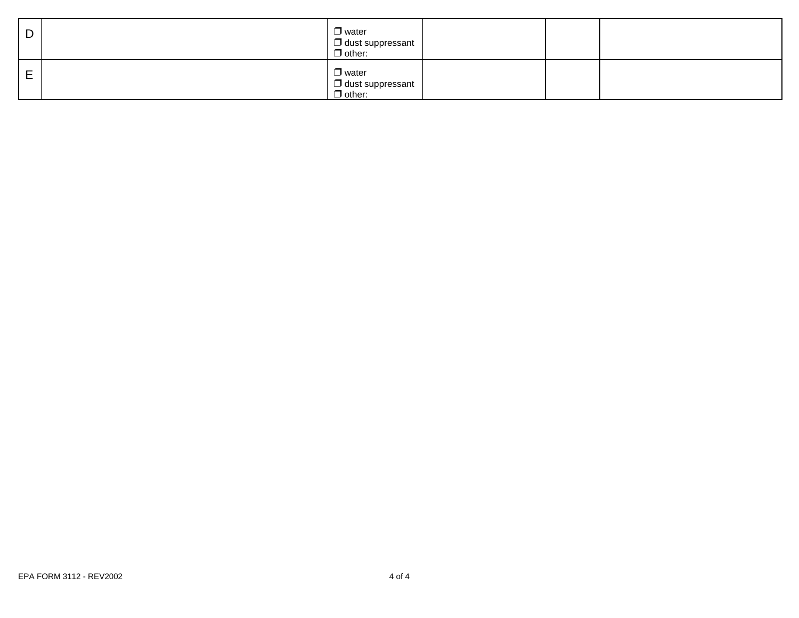| D | $\Box$ water<br>$\Box$ dust suppressant<br>$\Box$ other:       |  |  |
|---|----------------------------------------------------------------|--|--|
| E | $\Box$ water<br>$\square$ dust suppressant<br>$\square$ other: |  |  |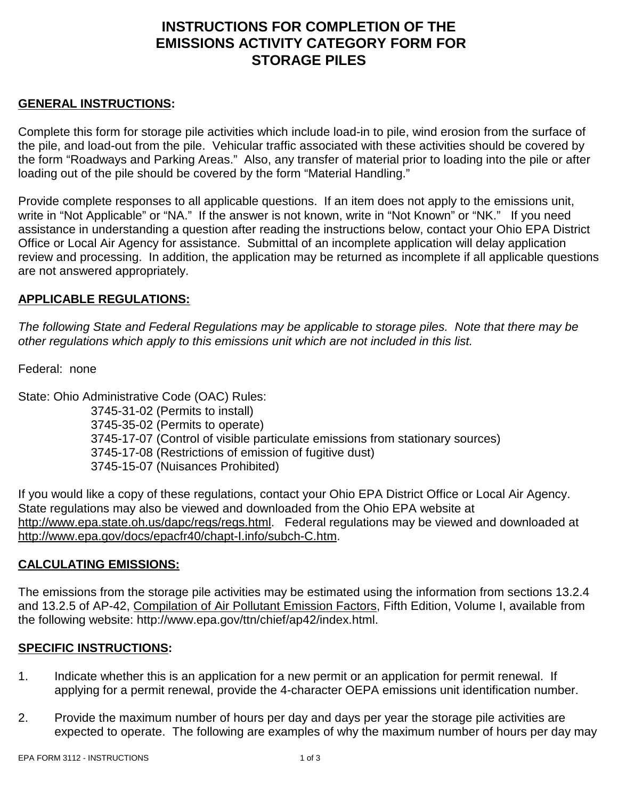# **INSTRUCTIONS FOR COMPLETION OF THE EMISSIONS ACTIVITY CATEGORY FORM FOR STORAGE PILES**

### **GENERAL INSTRUCTIONS:**

Complete this form for storage pile activities which include load-in to pile, wind erosion from the surface of the pile, and load-out from the pile. Vehicular traffic associated with these activities should be covered by the form "Roadways and Parking Areas." Also, any transfer of material prior to loading into the pile or after loading out of the pile should be covered by the form "Material Handling."

Provide complete responses to all applicable questions. If an item does not apply to the emissions unit, write in "Not Applicable" or "NA." If the answer is not known, write in "Not Known" or "NK." If you need assistance in understanding a question after reading the instructions below, contact your Ohio EPA District Office or Local Air Agency for assistance. Submittal of an incomplete application will delay application review and processing. In addition, the application may be returned as incomplete if all applicable questions are not answered appropriately.

### **APPLICABLE REGULATIONS:**

*The following State and Federal Regulations may be applicable to storage piles. Note that there may be other regulations which apply to this emissions unit which are not included in this list.*

Federal: none

State: Ohio Administrative Code (OAC) Rules: 3745-31-02 (Permits to install) 3745-35-02 (Permits to operate) 3745-17-07 (Control of visible particulate emissions from stationary sources) 3745-17-08 (Restrictions of emission of fugitive dust) 3745-15-07 (Nuisances Prohibited)

If you would like a copy of these regulations, contact your Ohio EPA District Office or Local Air Agency. State regulations may also be viewed and downloaded from the Ohio EPA website at http://www.epa.state.oh.us/dapc/regs/regs.html. Federal regulations may be viewed and downloaded at http://www.epa.gov/docs/epacfr40/chapt-I.info/subch-C.htm.

### **CALCULATING EMISSIONS:**

The emissions from the storage pile activities may be estimated using the information from sections 13.2.4 and 13.2.5 of AP-42, Compilation of Air Pollutant Emission Factors, Fifth Edition, Volume I, available from the following website: http://www.epa.gov/ttn/chief/ap42/index.html.

#### **SPECIFIC INSTRUCTIONS:**

- 1. Indicate whether this is an application for a new permit or an application for permit renewal. If applying for a permit renewal, provide the 4-character OEPA emissions unit identification number.
- 2. Provide the maximum number of hours per day and days per year the storage pile activities are expected to operate. The following are examples of why the maximum number of hours per day may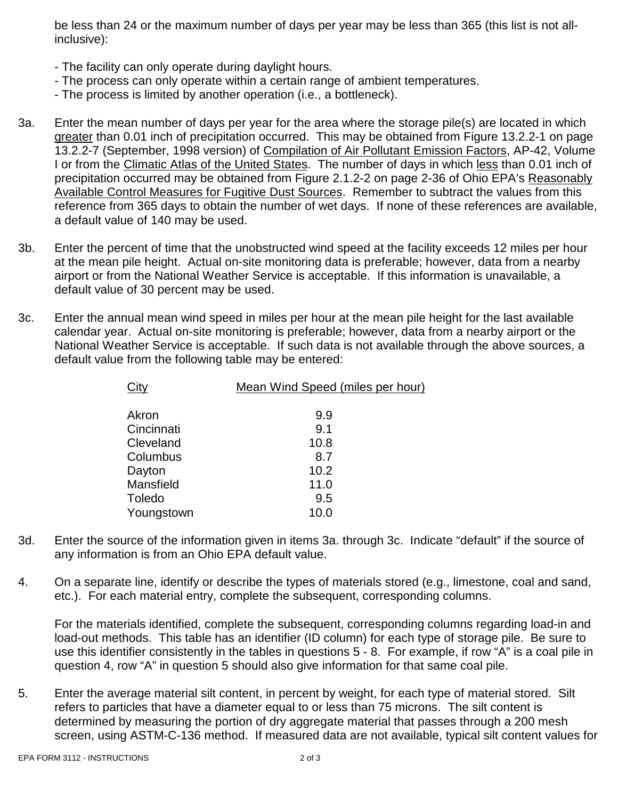be less than 24 or the maximum number of days per year may be less than 365 (this list is not allinclusive):

- The facility can only operate during daylight hours.
- The process can only operate within a certain range of ambient temperatures.
- The process is limited by another operation (i.e., a bottleneck).
- 3a. Enter the mean number of days per year for the area where the storage pile(s) are located in which greater than 0.01 inch of precipitation occurred. This may be obtained from Figure 13.2.2-1 on page 13.2.2-7 (September, 1998 version) of Compilation of Air Pollutant Emission Factors, AP-42, Volume I or from the Climatic Atlas of the United States. The number of days in which less than 0.01 inch of precipitation occurred may be obtained from Figure 2.1.2-2 on page 2-36 of Ohio EPA's Reasonably Available Control Measures for Fugitive Dust Sources. Remember to subtract the values from this reference from 365 days to obtain the number of wet days. If none of these references are available, a default value of 140 may be used.
- 3b. Enter the percent of time that the unobstructed wind speed at the facility exceeds 12 miles per hour at the mean pile height. Actual on-site monitoring data is preferable; however, data from a nearby airport or from the National Weather Service is acceptable. If this information is unavailable, a default value of 30 percent may be used.
- 3c. Enter the annual mean wind speed in miles per hour at the mean pile height for the last available calendar year. Actual on-site monitoring is preferable; however, data from a nearby airport or the National Weather Service is acceptable. If such data is not available through the above sources, a default value from the following table may be entered:

| City       | Mean Wind Speed (miles per hour) |
|------------|----------------------------------|
|            |                                  |
| Akron      | 9.9                              |
| Cincinnati | 9.1                              |
| Cleveland  | 10.8                             |
| Columbus   | 8.7                              |
| Dayton     | 10.2                             |
| Mansfield  | 11.0                             |
| Toledo     | 9.5                              |
| Youngstown | 10.0                             |
|            |                                  |

- 3d. Enter the source of the information given in items 3a. through 3c. Indicate "default" if the source of any information is from an Ohio EPA default value.
- 4. On a separate line, identify or describe the types of materials stored (e.g., limestone, coal and sand, etc.). For each material entry, complete the subsequent, corresponding columns.

For the materials identified, complete the subsequent, corresponding columns regarding load-in and load-out methods. This table has an identifier (ID column) for each type of storage pile. Be sure to use this identifier consistently in the tables in questions 5 - 8. For example, if row "A" is a coal pile in question 4, row "A" in question 5 should also give information for that same coal pile.

5. Enter the average material silt content, in percent by weight, for each type of material stored. Silt refers to particles that have a diameter equal to or less than 75 microns. The silt content is determined by measuring the portion of dry aggregate material that passes through a 200 mesh screen, using ASTM-C-136 method. If measured data are not available, typical silt content values for